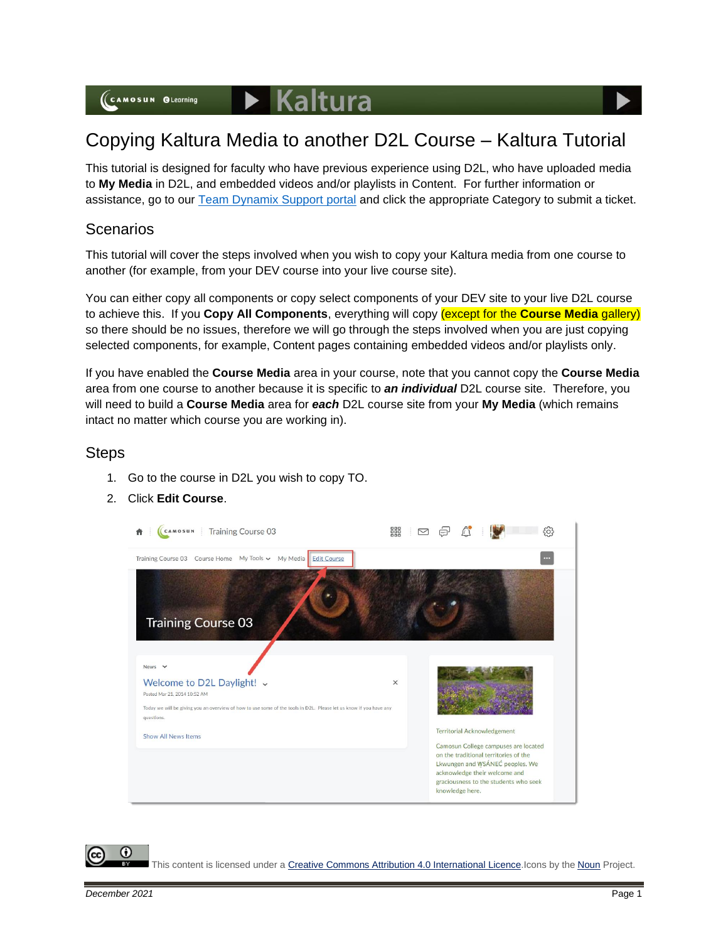# Copying Kaltura Media to another D2L Course – Kaltura Tutorial

This tutorial is designed for faculty who have previous experience using D2L, who have uploaded media to **My Media** in D2L, and embedded videos and/or playlists in Content. For further information or assistance, go to our [Team Dynamix Support portal](https://camosun.teamdynamix.com/TDClient/67/Portal/Requests/ServiceCatalog?CategoryID=523) and click the appropriate Category to submit a ticket.

### **Scenarios**

This tutorial will cover the steps involved when you wish to copy your Kaltura media from one course to another (for example, from your DEV course into your live course site).

You can either copy all components or copy select components of your DEV site to your live D2L course to achieve this. If you **Copy All Components**, everything will copy (except for the **Course Media** gallery) so there should be no issues, therefore we will go through the steps involved when you are just copying selected components, for example, Content pages containing embedded videos and/or playlists only.

If you have enabled the **Course Media** area in your course, note that you cannot copy the **Course Media** area from one course to another because it is specific to *an individual* D2L course site. Therefore, you will need to build a **Course Media** area for *each* D2L course site from your **My Media** (which remains intact no matter which course you are working in).

#### **Steps**

- 1. Go to the course in D2L you wish to copy TO.
- 2. Click **Edit Course**.



This content is licensed under [a Creative Commons Attribution 4.0 International Licence.I](https://creativecommons.org/licenses/by/4.0/)cons by the [Noun](https://creativecommons.org/website-icons/) Project.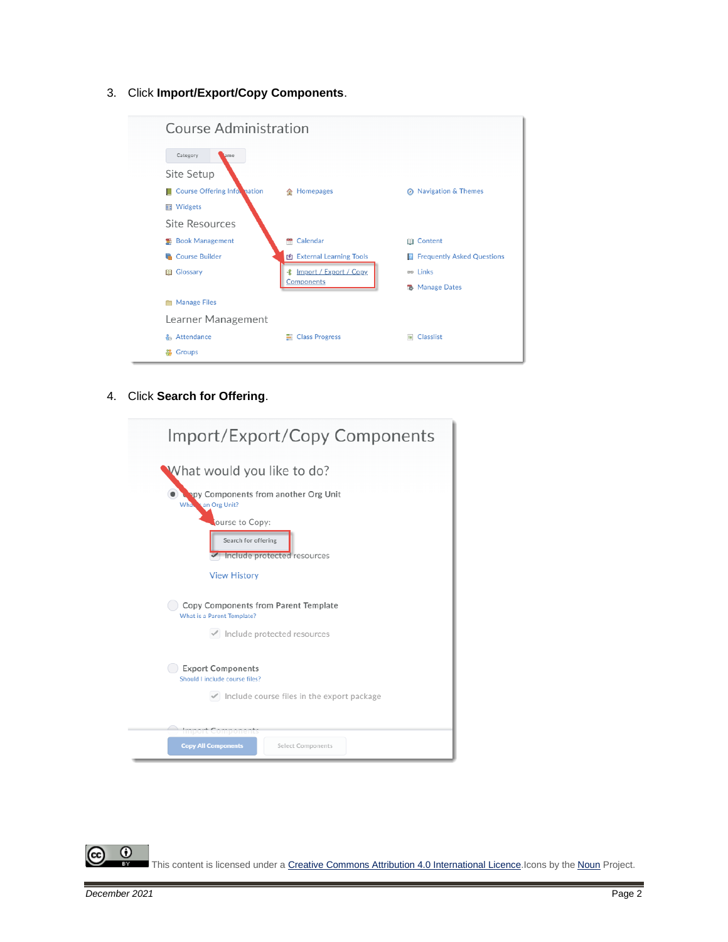3. Click **Import/Export/Copy Components**.

| <b>Course Administration</b> |                                  |                                           |  |  |  |  |
|------------------------------|----------------------------------|-------------------------------------------|--|--|--|--|
| Category<br>ame              |                                  |                                           |  |  |  |  |
| Site Setup                   |                                  |                                           |  |  |  |  |
| Course Offering Information  | <b>企</b> Homepages               | <b>Navigation &amp; Themes</b><br>$\circ$ |  |  |  |  |
| <b>III</b> Widgets           |                                  |                                           |  |  |  |  |
| <b>Site Resources</b>        |                                  |                                           |  |  |  |  |
| <b>图 Book Management</b>     | ÷<br>Calendar                    | <b>III</b> Content                        |  |  |  |  |
| <b>Course Builder</b>        | <b>图 External Learning Tools</b> | <b>Frequently Asked Questions</b><br>B    |  |  |  |  |
| <b>III</b> Glossary          | <b> 1</b> Import / Export / Copy | es Links                                  |  |  |  |  |
|                              | Components                       | <b>R</b> Manage Dates                     |  |  |  |  |
| <b>Manage Files</b>          |                                  |                                           |  |  |  |  |
| Learner Management           |                                  |                                           |  |  |  |  |
| <sub>គិ</sub> Attendance     | <b>■ Class Progress</b>          | E Classlist                               |  |  |  |  |
| Groups<br>ക്                 |                                  |                                           |  |  |  |  |

4. Click **Search for Offering**.

 $\equiv$ 

| Import/Export/Copy Components                                        |  |  |  |
|----------------------------------------------------------------------|--|--|--|
| What would you like to do?                                           |  |  |  |
| apy Components from another Org Unit<br>What san Org Unit?           |  |  |  |
| ourse to Copy:<br>Search for offering<br>Include protected resources |  |  |  |
| <b>View History</b>                                                  |  |  |  |
| Copy Components from Parent Template<br>What is a Parent Template?   |  |  |  |
| $\checkmark$ Include protected resources                             |  |  |  |
| <b>Export Components</b><br>Should Linclude course files?            |  |  |  |
| $\checkmark$ Include course files in the export package              |  |  |  |
| Import Component<br><b>Copy All Components</b><br>Select Components  |  |  |  |

This content is licensed under [a Creative Commons Attribution 4.0 International Licence.I](https://creativecommons.org/licenses/by/4.0/)cons by the [Noun](https://creativecommons.org/website-icons/) Project.

 $\overline{0}$ 

(cc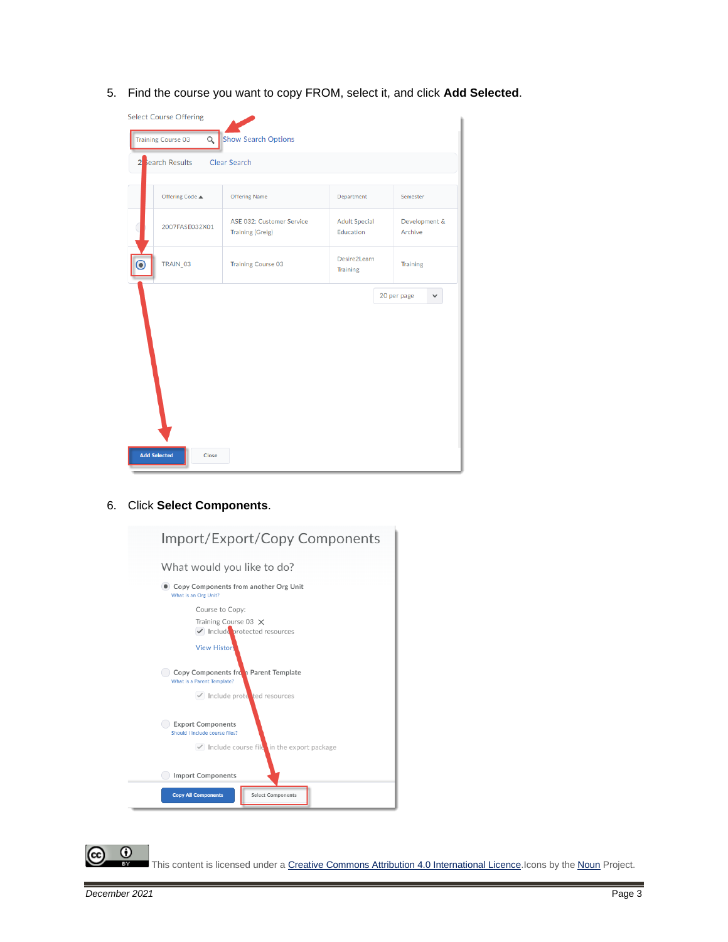5. Find the course you want to copy FROM, select it, and click **Add Selected**.



6. Click **Select Components**.



This content is licensed under [a Creative Commons Attribution 4.0 International Licence.I](https://creativecommons.org/licenses/by/4.0/)cons by the [Noun](https://creativecommons.org/website-icons/) Project.

 $\odot$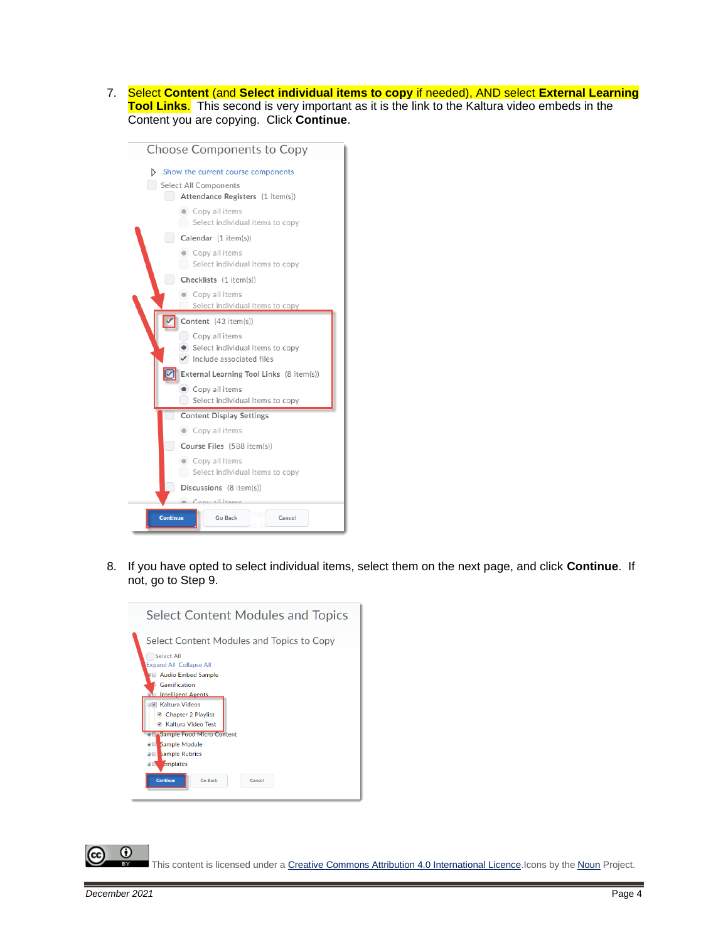7. Select **Content** (and **Select individual items to copy** if needed), AND select **External Learning Tool Links**. This second is very important as it is the link to the Kaltura video embeds in the Content you are copying. Click **Continue**.



8. If you have opted to select individual items, select them on the next page, and click **Continue**. If not, go to Step 9.



This content is licensed under [a Creative Commons Attribution 4.0 International Licence.I](https://creativecommons.org/licenses/by/4.0/)cons by the [Noun](https://creativecommons.org/website-icons/) Project.

 $\boldsymbol{\omega}$